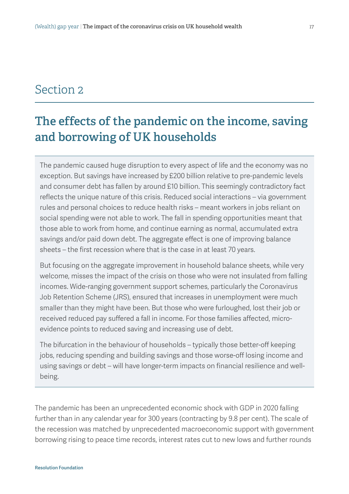## Section 2

# The effects of the pandemic on the income, saving and borrowing of UK households

The pandemic caused huge disruption to every aspect of life and the economy was no exception. But savings have increased by £200 billion relative to pre-pandemic levels and consumer debt has fallen by around £10 billion. This seemingly contradictory fact reflects the unique nature of this crisis. Reduced social interactions – via government rules and personal choices to reduce health risks – meant workers in jobs reliant on social spending were not able to work. The fall in spending opportunities meant that those able to work from home, and continue earning as normal, accumulated extra savings and/or paid down debt. The aggregate effect is one of improving balance sheets – the first recession where that is the case in at least 70 years.

But focusing on the aggregate improvement in household balance sheets, while very welcome, misses the impact of the crisis on those who were not insulated from falling incomes. Wide-ranging government support schemes, particularly the Coronavirus Job Retention Scheme (JRS), ensured that increases in unemployment were much smaller than they might have been. But those who were furloughed, lost their job or received reduced pay suffered a fall in income. For those families affected, microevidence points to reduced saving and increasing use of debt.

The bifurcation in the behaviour of households – typically those better-off keeping jobs, reducing spending and building savings and those worse-off losing income and using savings or debt – will have longer-term impacts on financial resilience and wellbeing.

The pandemic has been an unprecedented economic shock with GDP in 2020 falling further than in any calendar year for 300 years (contracting by 9.8 per cent). The scale of the recession was matched by unprecedented macroeconomic support with government borrowing rising to peace time records, interest rates cut to new lows and further rounds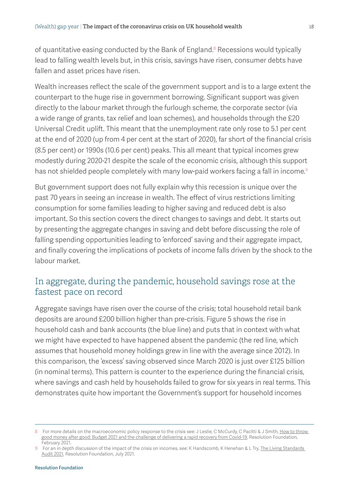of quantitative easing conducted by the Bank of England.<sup>8</sup> Recessions would typically lead to falling wealth levels but, in this crisis, savings have risen, consumer debts have fallen and asset prices have risen.

Wealth increases reflect the scale of the government support and is to a large extent the counterpart to the huge rise in government borrowing. Significant support was given directly to the labour market through the furlough scheme, the corporate sector (via a wide range of grants, tax relief and loan schemes), and households through the £20 Universal Credit uplift. This meant that the unemployment rate only rose to 5.1 per cent at the end of 2020 (up from 4 per cent at the start of 2020), far short of the financial crisis (8.5 per cent) or 1990s (10.6 per cent) peaks. This all meant that typical incomes grew modestly during 2020-21 despite the scale of the economic crisis, although this support has not shielded people completely with many low-paid workers facing a fall in income.<sup>9</sup>

But government support does not fully explain why this recession is unique over the past 70 years in seeing an increase in wealth. The effect of virus restrictions limiting consumption for some families leading to higher saving and reduced debt is also important. So this section covers the direct changes to savings and debt. It starts out by presenting the aggregate changes in saving and debt before discussing the role of falling spending opportunities leading to 'enforced' saving and their aggregate impact, and finally covering the implications of pockets of income falls driven by the shock to the labour market.

## In aggregate, during the pandemic, household savings rose at the fastest pace on record

Aggregate savings have risen over the course of the crisis; total household retail bank deposits are around £200 billion higher than pre-crisis. [Figure 5](#page-2-0) shows the rise in household cash and bank accounts (the blue line) and puts that in context with what we might have expected to have happened absent the pandemic (the red line, which assumes that household money holdings grew in line with the average since 2012). In this comparison, the 'excess' saving observed since March 2020 is just over £125 billion (in nominal terms). This pattern is counter to the experience during the financial crisis, where savings and cash held by households failed to grow for six years in real terms. This demonstrates quite how important the Government's support for household incomes

<sup>8</sup> For more details on the macroeconomic policy response to the crisis see: J Leslie, C McCurdy, C Pacitti & J Smith, How to throw [good money after good: Budget 2021 and the challenge of delivering a rapid recovery from Covid-19,](https://www.resolutionfoundation.org/publications/how-to-throw-good-money-after-good/) Resolution Foundation, February 2021.

<sup>9</sup> For an in depth discussion of the impact of the crisis on incomes, see: K Handscomb, K Henehan & L Try, [The Living Standards](https://www.resolutionfoundation.org/publications/the-living-standards-audit-2021/)  [Audit 2021](https://www.resolutionfoundation.org/publications/the-living-standards-audit-2021/), Resolution Foundation, July 2021.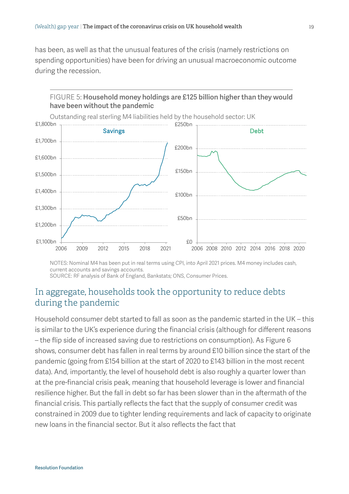has been, as well as that the unusual features of the crisis (namely restrictions on spending opportunities) have been for driving an unusual macroeconomic outcome during the recession.

<span id="page-2-0"></span>

NOTES: Nominal M4 has been put in real terms using CPI, into April 2021 prices. M4 money includes cash, current accounts and savings accounts.

SOURCE: RF analysis of Bank of England, Bankstats; ONS, Consumer Prices.

## In aggregate, households took the opportunity to reduce debts during the pandemic

Household consumer debt started to fall as soon as the pandemic started in the UK – this is similar to the UK's experience during the financial crisis (although for different reasons – the flip side of increased saving due to restrictions on consumption). As [Figure 6](#page-3-0) shows, consumer debt has fallen in real terms by around £10 billion since the start of the pandemic (going from £154 billion at the start of 2020 to £143 billion in the most recent data). And, importantly, the level of household debt is also roughly a quarter lower than at the pre-financial crisis peak, meaning that household leverage is lower and financial resilience higher. But the fall in debt so far has been slower than in the aftermath of the financial crisis. This partially reflects the fact that the supply of consumer credit was constrained in 2009 due to tighter lending requirements and lack of capacity to originate new loans in the financial sector. But it also reflects the fact that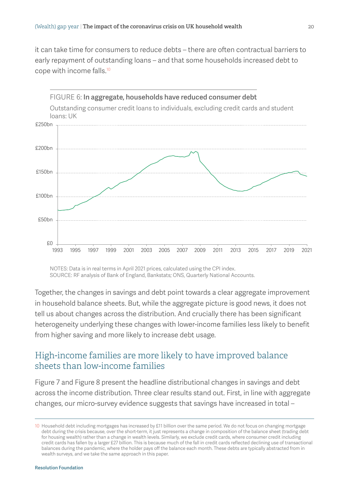it can take time for consumers to reduce debts – there are often contractual barriers to early repayment of outstanding loans – and that some households increased debt to cope with income falls.10

<span id="page-3-0"></span>

NOTES: Data is in real terms in April 2021 prices, calculated using the CPI index. SOURCE: RF analysis of Bank of England, Bankstats; ONS, Quarterly National Accounts.

Together, the changes in savings and debt point towards a clear aggregate improvement in household balance sheets. But, while the aggregate picture is good news, it does not tell us about changes across the distribution. And crucially there has been significant heterogeneity underlying these changes with lower-income families less likely to benefit from higher saving and more likely to increase debt usage.

## High-income families are more likely to have improved balance sheets than low-income families

[Figure 7](#page-4-0) and [Figure](#page-5-0) 8 present the headline distributional changes in savings and debt across the income distribution. Three clear results stand out. First, in line with aggregate changes, our micro-survey evidence suggests that savings have increased in total –

<sup>10</sup> Household debt including mortgages has increased by £11 billion over the same period. We do not focus on changing mortgage debt during the crisis because, over the short-term, it just represents a change in composition of the balance sheet (trading debt for housing wealth) rather than a change in wealth levels. Similarly, we exclude credit cards, where consumer credit including credit cards has fallen by a larger £27 billion. This is because much of the fall in credit cards reflected declining use of transactional balances during the pandemic, where the holder pays off the balance each month. These debts are typically abstracted from in wealth surveys, and we take the same approach in this paper.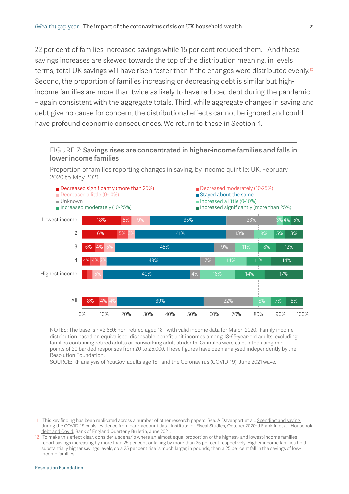22 per cent of families increased savings while 15 per cent reduced them.<sup>11</sup> And these savings increases are skewed towards the top of the distribution meaning, in levels terms, total UK savings will have risen faster than if the changes were distributed evenly.<sup>12</sup> Second, the proportion of families increasing or decreasing debt is similar but highincome families are more than twice as likely to have reduced debt during the pandemic – again consistent with the aggregate totals. Third, while aggregate changes in saving and debt give no cause for concern, the distributional effects cannot be ignored and could have profound economic consequences. We return to these in Section 4.

#### <span id="page-4-0"></span>FIGURE 7: Savings rises are concentrated in higher-income families and falls in lower income families

Proportion of families reporting changes in saving, by income quintile: UK, February 2020 to May 2021



NOTES: The base is n=2,680: non-retired aged 18+ with valid income data for March 2020. Family income distribution based on equivalised, disposable benefit unit incomes among 18-65-year-old adults, excluding families containing retired adults or nonworking adult students. Quintiles were calculated using midpoints of 20 banded responses from £0 to £5,000. These figures have been analysed independently by the Resolution Foundation.

SOURCE: RF analysis of YouGov, adults age 18+ and the Coronavirus (COVID-19), June 2021 wave.

#### Resolution Foundation

<sup>11</sup> This key finding has been replicated across a number of other research papers. See: A Davenport et al., Spending and saving [during the COVID-19 crisis: evidence from bank account data,](https://ifs.org.uk/publications/15146) Institute for Fiscal Studies, October 2020; J Franklin et al., Household [debt and Covid](https://www.bankofengland.co.uk/quarterly-bulletin/2021/2021-q2/household-debt-and-covid), Bank of England Quarterly Bulletin, June 2021.

<sup>12</sup> To make this effect clear, consider a scenario where an almost equal proportion of the highest- and lowest-income families report savings increasing by more than 25 per cent or falling by more than 25 per cent respectively. Higher-income families hold substantially higher savings levels, so a 25 per cent rise is much larger, in pounds, than a 25 per cent fall in the savings of lowincome families.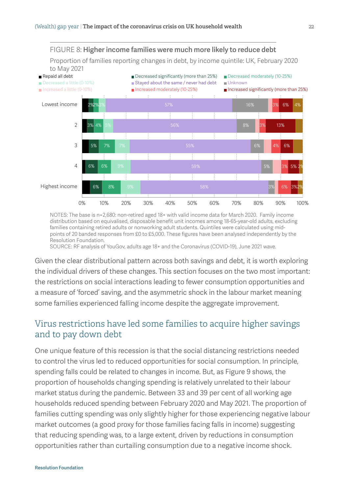<span id="page-5-0"></span>

NOTES: The base is n=2,680: non-retired aged 18+ with valid income data for March 2020. Family income distribution based on equivalised, disposable benefit unit incomes among 18-65-year-old adults, excluding families containing retired adults or nonworking adult students. Quintiles were calculated using midpoints of 20 banded responses from £0 to £5,000. These figures have been analysed independently by the Resolution Foundation.

SOURCE: RF analysis of YouGov, adults age 18+ and the Coronavirus (COVID-19), June 2021 wave.

Given the clear distributional pattern across both savings and debt, it is worth exploring the individual drivers of these changes. This section focuses on the two most important: the restrictions on social interactions leading to fewer consumption opportunities and a measure of 'forced' saving, and the asymmetric shock in the labour market meaning some families experienced falling income despite the aggregate improvement.

## Virus restrictions have led some families to acquire higher savings and to pay down debt

One unique feature of this recession is that the social distancing restrictions needed to control the virus led to reduced opportunities for social consumption. In principle, spending falls could be related to changes in income. But, a[s Figure](#page-6-0) 9 shows, the proportion of households changing spending is relatively unrelated to their labour market status during the pandemic. Between 33 and 39 per cent of all working age households reduced spending between February 2020 and May 2021. The proportion of families cutting spending was only slightly higher for those experiencing negative labour market outcomes (a good proxy for those families facing falls in income) suggesting that reducing spending was, to a large extent, driven by reductions in consumption opportunities rather than curtailing consumption due to a negative income shock.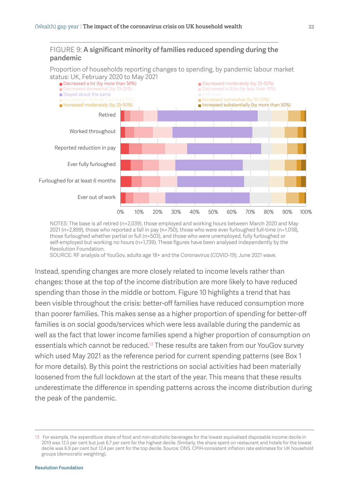#### <span id="page-6-0"></span>FIGURE 9: A significant minority of families reduced spending during the pandemic

Proportion of households reporting changes to spending, by pandemic labour market status: UK, February 2020 to May 2021



NOTES: The base is all retired (n=2,039), those employed and working hours between March 2020 and May 2021 (n=2,899), those who reported a fall in pay (n=750), those who were ever furloughed full-time (n=1,018), those furloughed whether partial or full (n=503), and those who were unemployed, fully furloughed or self-employed but working no hours (n=1,739). These figures have been analysed independently by the Resolution Foundation.

SOURCE: RF analysis of YouGov, adults age 18+ and the Coronavirus (COVID-19), June 2021 wave.

Instead, spending changes are more closely related to income levels rather than changes: those at the top of the income distribution are more likely to have reduced spending than those in the middle or bottom[. Figure 1](#page-7-0)0 highlights a trend that has been visible throughout the crisis: better-off families have reduced consumption more than poorer families. This makes sense as a higher proportion of spending for better-off families is on social goods/services which were less available during the pandemic as well as the fact that lower income families spend a higher proportion of consumption on essentials which cannot be reduced.<sup>13</sup> These results are taken from our YouGov survey which used May 2021 as the reference period for current spending patterns (see Box 1 for more details). By this point the restrictions on social activities had been materially loosened from the full lockdown at the start of the year. This means that these results underestimate the difference in spending patterns across the income distribution during the peak of the pandemic.

<sup>13</sup> For example, the expenditure share of food and non-alcoholic beverages for the lowest equivalised disposable income decile in 2019 was 12.5 per cent but just 6.7 per cent for the highest decile. Similarly, the share spent on restaurant and hotels for the lowest decile was 6.9 per cent but 12.4 per cent for the top decile. Source: ONS, CPIH-consistent inflation rate estimates for UK household groups (democratic weighting).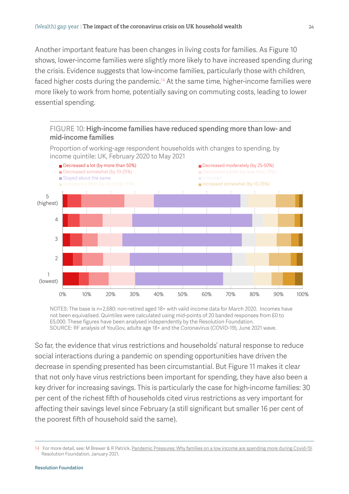Another important feature has been changes in living costs for families. [As Figure](#page-7-0) 10 shows, lower-income families were slightly more likely to have increased spending during the crisis. Evidence suggests that low-income families, particularly those with children, faced higher costs during the pandemic.<sup>14</sup> At the same time, higher-income families were more likely to work from home, potentially saving on commuting costs, leading to lower essential spending.

<span id="page-7-0"></span>





NOTES: The base is n=2,680: non-retired aged 18+ with valid income data for March 2020. Incomes have not been equivalised. Quintiles were calculated using mid-points of 20 banded responses from £0 to £5,000. These figures have been analysed independently by the Resolution Foundation. SOURCE: RF analysis of YouGov, adults age 18+ and the Coronavirus (COVID-19), June 2021 wave.

So far, the evidence that virus restrictions and households' natural response to reduce social interactions during a pandemic on spending opportunities have driven the decrease in spending presented has been circumstantial. B[ut Figure 1](#page-8-0)1 makes it clear that not only have virus restrictions been important for spending, they have also been a key driver for increasing savings. This is particularly the case for high-income families: 30 per cent of the richest fifth of households cited virus restrictions as very important for affecting their savings level since February (a still significant but smaller 16 per cent of the poorest fifth of household said the same).

<sup>14</sup> For more detail, see: M Brewer & R Patrick, [Pandemic Pressures: Why families on a low income are spending more during Covid-19,](https://www.resolutionfoundation.org/publications/pandemic-pressures/) Resolution Foundation, January 2021.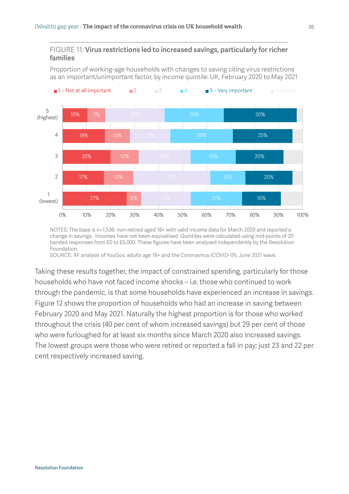#### <span id="page-8-0"></span>FIGURE 11: Virus restrictions led to increased savings, particularly for richer families

Proportion of working-age households with changes to saving citing virus restrictions as an important/unimportant factor, by income quintile: UK, February 2020 to May 2021



NOTES: The base is n=1,536: non-retired aged 18+ with valid income data for March 2020 and reported a change in savings. Incomes have not been equivalised. Quintiles were calculated using mid-points of 20 banded responses from £0 to £5,000. These figures have been analysed independently by the Resolution Foundation.

SOURCE: RF analysis of YouGov, adults age 18+ and the Coronavirus (COVID-19), June 2021 wave.

Taking these results together, the impact of constrained spending, particularly for those households who have not faced income shocks – i.e. those who continued to work through the pandemic, is that some households have experienced an increase in savings[.](#page-9-0)  [Figure 1](#page-9-0)2 shows the proportion of households who had an increase in saving between February 2020 and May 2021. Naturally the highest proportion is for those who worked throughout the crisis (40 per cent of whom increased savings) but 29 per cent of those who were furloughed for at least six months since March 2020 also increased savings. The lowest groups were those who were retired or reported a fall in pay; just 23 and 22 per cent respectively increased saving.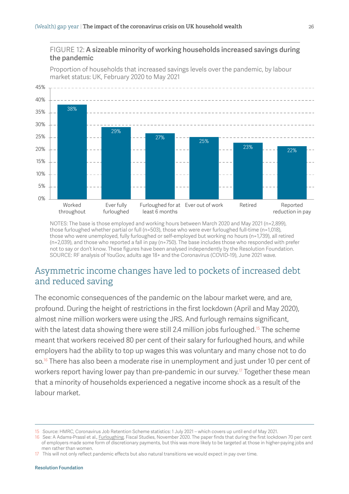#### <span id="page-9-0"></span>FIGURE 12: A sizeable minority of working households increased savings during the pandemic

Proportion of households that increased savings levels over the pandemic, by labour market status: UK, February 2020 to May 2021



NOTES: The base is those employed and working hours between March 2020 and May 2021 (n=2,899), those furloughed whether partial or full (n=503), those who were ever furloughed full-time (n=1,018), those who were unemployed, fully furloughed or self-employed but working no hours (n=1,739), all retired (n=2,039), and those who reported a fall in pay (n=750). The base includes those who responded with prefer not to say or don't know. These figures have been analysed independently by the Resolution Foundation. SOURCE: RF analysis of YouGov, adults age 18+ and the Coronavirus (COVID-19), June 2021 wave.

## Asymmetric income changes have led to pockets of increased debt and reduced saving

The economic consequences of the pandemic on the labour market were, and are, profound. During the height of restrictions in the first lockdown (April and May 2020), almost nine million workers were using the JRS. And furlough remains significant, with the latest data showing there were still 2.4 million jobs furloughed.<sup>15</sup> The scheme meant that workers received 80 per cent of their salary for furloughed hours, and while employers had the ability to top up wages this was voluntary and many chose not to do so.<sup>16</sup> There has also been a moderate rise in unemployment and just under 10 per cent of workers report having lower pay than pre-pandemic in our survey.<sup>17</sup> Together these mean that a minority of households experienced a negative income shock as a result of the labour market.

<sup>15</sup> Source: HMRC, Coronavirus Job Retention Scheme statistics: 1 July 2021 – which covers up until end of May 2021.

<sup>16</sup> See: A Adams-Prassl et al., [Furloughing](https://www.researchgate.net/publication/347245564_Furloughing), Fiscal Studies, November 2020. The paper finds that during the first lockdown 70 per cent of employers made some form of discretionary payments, but this was more likely to be targeted at those in higher-paying jobs and men rather than women.

<sup>17</sup> This will not only reflect pandemic effects but also natural transitions we would expect in pay over time.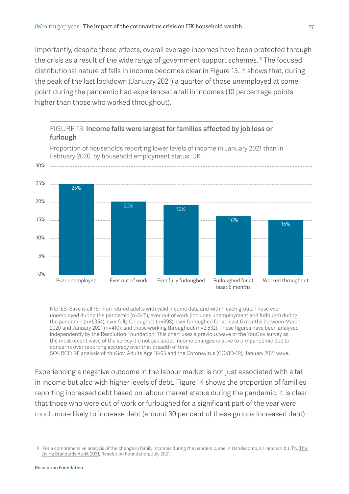Importantly, despite these effects, overall average incomes have been protected through the crisis as a result of the wide range of government support schemes.<sup>18</sup> The focused distributional nature of falls in income becomes clear i[n Figure 1](#page-10-0)3. It shows that, during the peak of the last lockdown (January 2021) a quarter of those unemployed at some point during the pandemic had experienced a fall in incomes (10 percentage points higher than those who worked throughout).

### <span id="page-10-0"></span>FIGURE 13: Income falls were largest for families affected by job loss or furlough



Proportion of households reporting lower levels of income in January 2021 than in February 2020, by household employment status: UK

NOTES: Base is all 18+ non-retired adults with valid income data and within each group. Those ever unemployed during the pandemic (n=545), ever out of work (includes unemployment and furlough) during the pandemic (n=1,354), ever fully furloughed (n=898), ever furloughed for at least 6 months between March 2020 and January 2021 (n=410), and those working throughout (n=2,532). These figures have been analysed independently by the Resolution Foundation. This chart uses a previous wave of the YouGov survey as the most recent wave of the survey did not ask about income changes relative to pre-pandemic due to concerns over reporting accuracy over that breadth of time. SOURCE: RF analysis of YouGov, Adults Age 18-65 and the Coronavirus (COVID-19), January 2021 wave.

Experiencing a negative outcome in the labour market is not just associated with a fall in income but also with higher levels of debt[. Figure 1](#page-11-0)4 shows the proportion of families reporting increased debt based on labour market status during the pandemic. It is clear that those who were out of work or furloughed for a significant part of the year were much more likely to increase debt (around 30 per cent of these groups increased debt)

<sup>18</sup> For a comprehensive analysis of the change in family incomes during the pandemic, see: K Handscomb, K Henehan & L Try, The [Living Standards Audit 2021](https://www.resolutionfoundation.org/publications/the-living-standards-audit-2021/), Resolution Foundation, July 2021.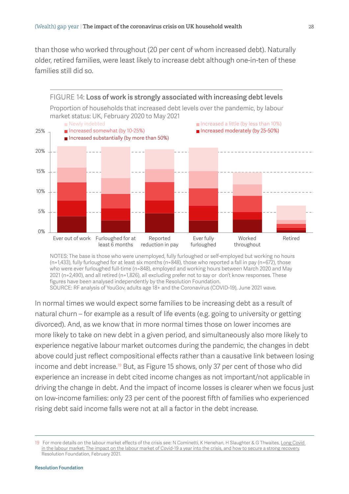than those who worked throughout (20 per cent of whom increased debt). Naturally older, retired families, were least likely to increase debt although one-in-ten of these families still did so.

<span id="page-11-0"></span>

NOTES: The base is those who were unemployed, fully furloughed or self-employed but working no hours (n=1,433), fully furloughed for at least six months (n=848), those who reported a fall in pay (n=672), those who were ever furloughed full-time (n=848), employed and working hours between March 2020 and May 2021 (n=2,490), and all retired (n=1,826), all excluding prefer not to say or don't know responses. These figures have been analysed independently by the Resolution Foundation.

SOURCE: RF analysis of YouGov, adults age 18+ and the Coronavirus (COVID-19), June 2021 wave.

In normal times we would expect some families to be increasing debt as a result of natural churn – for example as a result of life events (e.g. going to university or getting divorced). And, as we know that in more normal times those on lower incomes are more likely to take on new debt in a given period, and simultaneously also more likely to experience negative labour market outcomes during the pandemic, the changes in debt above could just reflect compositional effects rather than a causative link between losing income and debt increase.<sup>19</sup> But, a[s Figure 1](#page-12-0)5 shows, only 37 per cent of those who did experience an increase in debt cited income changes as not important/not applicable in driving the change in debt. And the impact of income losses is clearer when we focus just on low-income families: only 23 per cent of the poorest fifth of families who experienced rising debt said income falls were not at all a factor in the debt increase.

<sup>19</sup> For more details on the labour market effects of the crisis see: N Cominetti, K Henehan, H Slaughter & G Thwaites, [Long Covid](https://www.resolutionfoundation.org/publications/long-covid-in-the-labour-market/)  [in the labour market: The impact on the labour market of Covid-19 a year into the crisis, and how to secure a strong recovery](https://www.resolutionfoundation.org/publications/long-covid-in-the-labour-market/), Resolution Foundation, February 2021.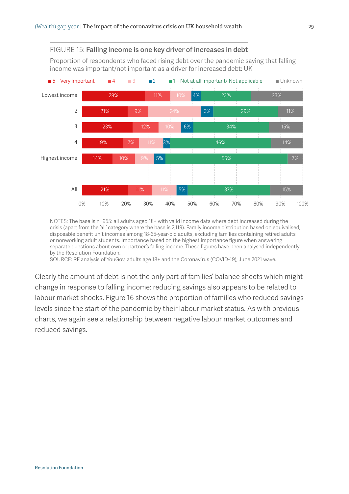<span id="page-12-0"></span>

NOTES: The base is n=955: all adults aged 18+ with valid income data where debt increased during the crisis (apart from the 'all' category where the base is 2,119). Family income distribution based on equivalised, disposable benefit unit incomes among 18-65-year-old adults, excluding families containing retired adults or nonworking adult students. Importance based on the highest importance figure when answering separate questions about own or partner's falling income. These figures have been analysed independently by the Resolution Foundation.

SOURCE: RF analysis of YouGov, adults age 18+ and the Coronavirus (COVID-19), June 2021 wave.

Clearly the amount of debt is not the only part of families' balance sheets which might change in response to falling income: reducing savings also appears to be related to labour market shock[s. Figure 1](#page-13-0)6 shows the proportion of families who reduced savings levels since the start of the pandemic by their labour market status. As with previous charts, we again see a relationship between negative labour market outcomes and reduced savings.